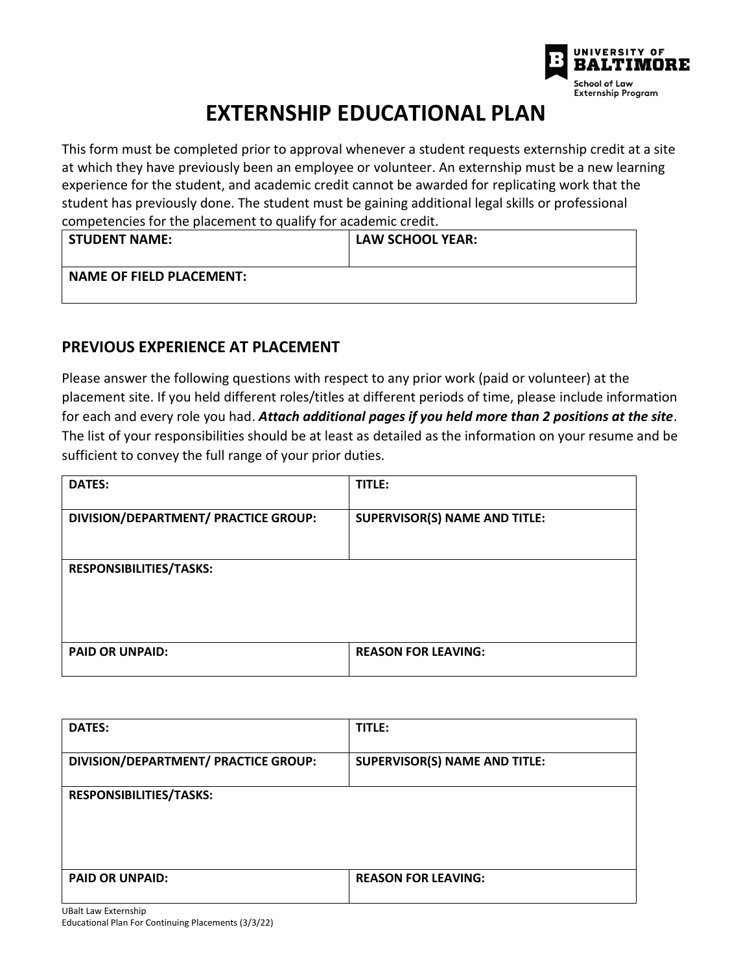

## **EXTERNSHIP EDUCATIONAL PLAN**

This form must be completed prior to approval whenever a student requests externship credit at a site at which they have previously been an employee or volunteer. An externship must be a new learning experience for the student, and academic credit cannot be awarded for replicating work that the student has previously done. The student must be gaining additional legal skills or professional competencies for the placement to qualify for academic credit.

| l STUDENT NAME:                 | LAW SCHOOL YEAR: |
|---------------------------------|------------------|
| <b>NAME OF FIELD PLACEMENT:</b> |                  |

## **PREVIOUS EXPERIENCE AT PLACEMENT**

Please answer the following questions with respect to any prior work (paid or volunteer) at the placement site. If you held different roles/titles at different periods of time, please include information for each and every role you had. *Attach additional pages if you held more than 2 positions at the site*. The list of your responsibilities should be at least as detailed as the information on your resume and be sufficient to convey the full range of your prior duties.

| <b>DATES:</b>                        | TITLE:                               |
|--------------------------------------|--------------------------------------|
| DIVISION/DEPARTMENT/ PRACTICE GROUP: | <b>SUPERVISOR(S) NAME AND TITLE:</b> |
| <b>RESPONSIBILITIES/TASKS:</b>       |                                      |
| <b>PAID OR UNPAID:</b>               | <b>REASON FOR LEAVING:</b>           |

| <b>DATES:</b>                        | TITLE:                               |
|--------------------------------------|--------------------------------------|
| DIVISION/DEPARTMENT/ PRACTICE GROUP: | <b>SUPERVISOR(S) NAME AND TITLE:</b> |
| <b>RESPONSIBILITIES/TASKS:</b>       |                                      |
| <b>PAID OR UNPAID:</b>               | <b>REASON FOR LEAVING:</b>           |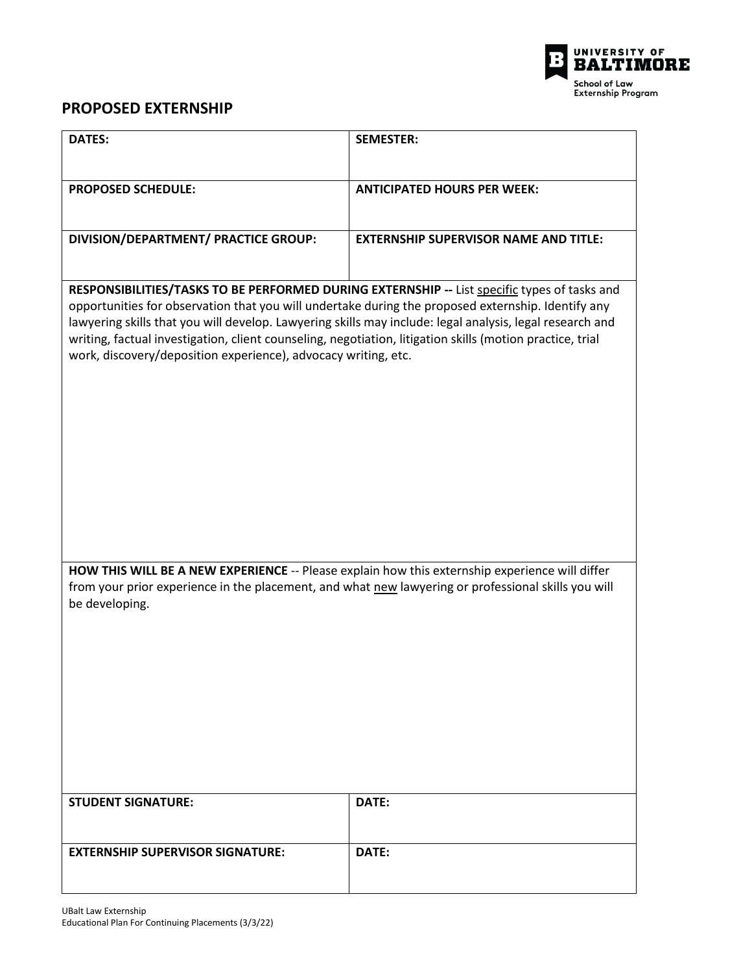

## **PROPOSED EXTERNSHIP**

| <b>DATES:</b>                                                                                                                                                                                                                                                                                                                                                                                                                                                                                 | <b>SEMESTER:</b>                             |  |
|-----------------------------------------------------------------------------------------------------------------------------------------------------------------------------------------------------------------------------------------------------------------------------------------------------------------------------------------------------------------------------------------------------------------------------------------------------------------------------------------------|----------------------------------------------|--|
| <b>PROPOSED SCHEDULE:</b>                                                                                                                                                                                                                                                                                                                                                                                                                                                                     | <b>ANTICIPATED HOURS PER WEEK:</b>           |  |
| DIVISION/DEPARTMENT/ PRACTICE GROUP:                                                                                                                                                                                                                                                                                                                                                                                                                                                          | <b>EXTERNSHIP SUPERVISOR NAME AND TITLE:</b> |  |
| RESPONSIBILITIES/TASKS TO BE PERFORMED DURING EXTERNSHIP -- List specific types of tasks and<br>opportunities for observation that you will undertake during the proposed externship. Identify any<br>lawyering skills that you will develop. Lawyering skills may include: legal analysis, legal research and<br>writing, factual investigation, client counseling, negotiation, litigation skills (motion practice, trial<br>work, discovery/deposition experience), advocacy writing, etc. |                                              |  |
| HOW THIS WILL BE A NEW EXPERIENCE -- Please explain how this externship experience will differ<br>from your prior experience in the placement, and what new lawyering or professional skills you will<br>be developing.                                                                                                                                                                                                                                                                       |                                              |  |
| <b>STUDENT SIGNATURE:</b>                                                                                                                                                                                                                                                                                                                                                                                                                                                                     | DATE:                                        |  |
| <b>EXTERNSHIP SUPERVISOR SIGNATURE:</b>                                                                                                                                                                                                                                                                                                                                                                                                                                                       | DATE:                                        |  |